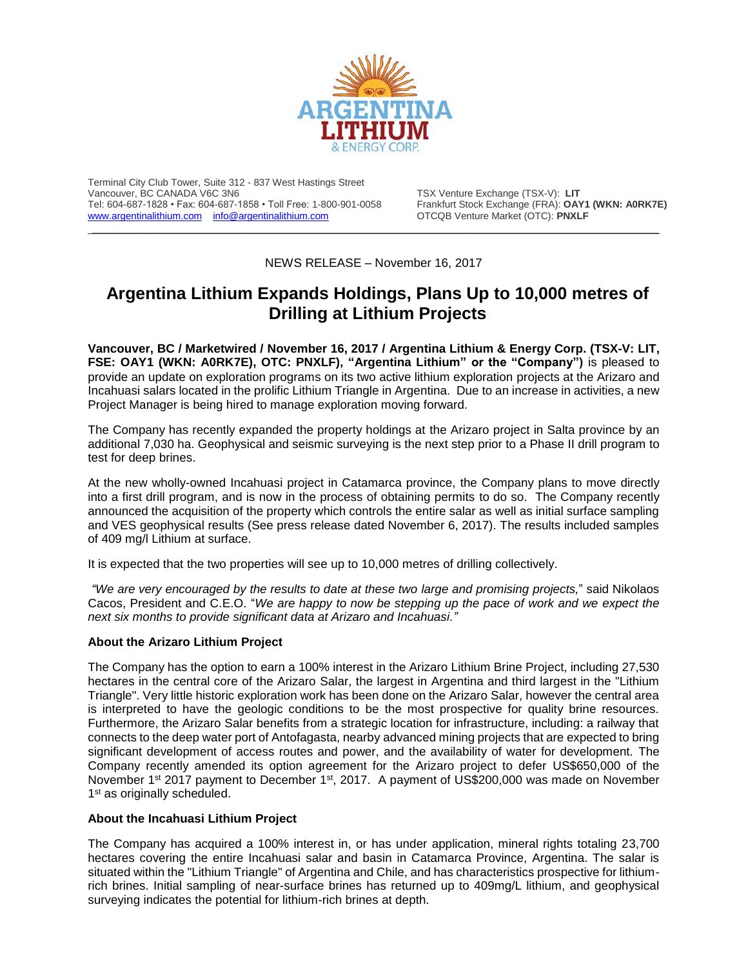

Terminal City Club Tower, Suite 312 - 837 West Hastings Street Tel: 604-687-1828 • Fax: 604-687-1858 • Toll Free: 1-800-901-0058 Frankfurt Stock Exchange (FRA): **OAY1** Www.argentinalithium.com info@argentinalithium.com **CORICIS** Venture Market (OTC): **PNXLF** [www.argentinalithium.com](http://www.argentinalithium.com/) [info@argentinalithium.com](mailto:info@argentinalithium.com)

TSX Venture Exchange (TSX-V): LIT<br>Frankfurt Stock Exchange (FRA): OAY1 (WKN: A0RK7E)  $\_$  , and the state of the state of the state of the state of the state of the state of the state of the state of the state of the state of the state of the state of the state of the state of the state of the state of the

NEWS RELEASE – November 16, 2017

# **Argentina Lithium Expands Holdings, Plans Up to 10,000 metres of Drilling at Lithium Projects**

**Vancouver, BC / Marketwired / November 16, 2017 / Argentina Lithium & Energy Corp. (TSX-V: LIT, FSE: OAY1 (WKN: A0RK7E), OTC: PNXLF), "Argentina Lithium" or the "Company")** is pleased to provide an update on exploration programs on its two active lithium exploration projects at the Arizaro and Incahuasi salars located in the prolific Lithium Triangle in Argentina. Due to an increase in activities, a new Project Manager is being hired to manage exploration moving forward.

The Company has recently expanded the property holdings at the Arizaro project in Salta province by an additional 7,030 ha. Geophysical and seismic surveying is the next step prior to a Phase II drill program to test for deep brines.

At the new wholly-owned Incahuasi project in Catamarca province, the Company plans to move directly into a first drill program, and is now in the process of obtaining permits to do so. The Company recently announced the acquisition of the property which controls the entire salar as well as initial surface sampling and VES geophysical results (See press release dated November 6, 2017). The results included samples of 409 mg/l Lithium at surface.

It is expected that the two properties will see up to 10,000 metres of drilling collectively.

*"We are very encouraged by the results to date at these two large and promising projects,*" said Nikolaos Cacos, President and C.E.O. "*We are happy to now be stepping up the pace of work and we expect the next six months to provide significant data at Arizaro and Incahuasi."*

## **About the Arizaro Lithium Project**

The Company has the option to earn a 100% interest in the Arizaro Lithium Brine Project, including 27,530 hectares in the central core of the Arizaro Salar, the largest in Argentina and third largest in the "Lithium Triangle". Very little historic exploration work has been done on the Arizaro Salar, however the central area is interpreted to have the geologic conditions to be the most prospective for quality brine resources. Furthermore, the Arizaro Salar benefits from a strategic location for infrastructure, including: a railway that connects to the deep water port of Antofagasta, nearby advanced mining projects that are expected to bring significant development of access routes and power, and the availability of water for development. The Company recently amended its option agreement for the Arizaro project to defer US\$650,000 of the November 1<sup>st</sup> 2017 payment to December 1<sup>st</sup>, 2017. A payment of US\$200,000 was made on November 1<sup>st</sup> as originally scheduled.

## **About the Incahuasi Lithium Project**

The Company has acquired a 100% interest in, or has under application, mineral rights totaling 23,700 hectares covering the entire Incahuasi salar and basin in Catamarca Province, Argentina. The salar is situated within the "Lithium Triangle" of Argentina and Chile, and has characteristics prospective for lithiumrich brines. Initial sampling of near-surface brines has returned up to 409mg/L lithium, and geophysical surveying indicates the potential for lithium-rich brines at depth.